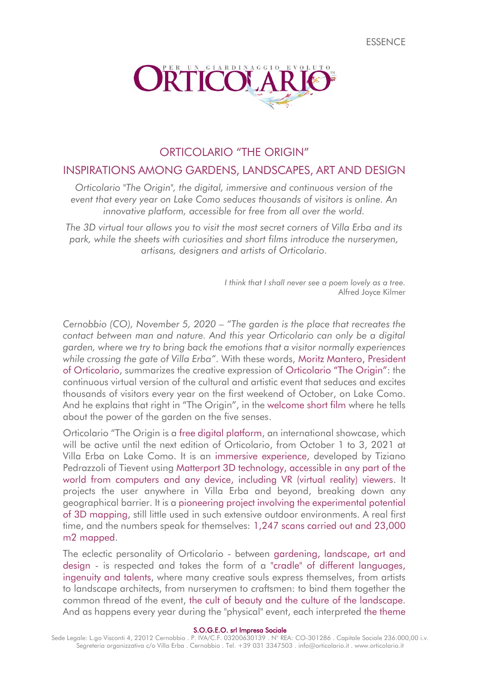

# ORTICOLARIO "THE ORIGIN"

## INSPIRATIONS AMONG GARDENS, LANDSCAPES, ART AND DESIGN

*Orticolario "The Origin", the digital, immersive and continuous version of the event that every year on Lake Como seduces thousands of visitors is online. An innovative platform, accessible for free from all over the world.*

*The 3D virtual tour allows you to visit the most secret corners of Villa Erba and its park, while the sheets with curiosities and short films introduce the nurserymen, artisans, designers and artists of Orticolario.*

> *I think that I shall never see a poem lovely as a tree.* Alfred Joyce Kilmer

*Cernobbio (CO), November 5, 2020* – *"The garden is the place that recreates the contact between man and nature. And this year Orticolario can only be a digital garden, where we try to bring back the emotions that a visitor normally experiences while crossing the gate of Villa Erba"*. With these words, Moritz Mantero, President of Orticolario, summarizes the creative expression of Orticolario "The Origin": the continuous virtual version of the cultural and artistic event that seduces and excites thousands of visitors every year on the first weekend of October, on Lake Como. And he explains that right in "The Origin", in the welcome short film where he tells about the power of the garden on the five senses.

Orticolario "The Origin is a free digital platform, an international showcase, which will be active until the next edition of Orticolario, from October 1 to 3, 2021 at Villa Erba on Lake Como. It is an immersive experience, developed by Tiziano Pedrazzoli of Tievent using Matterport 3D technology, accessible in any part of the world from computers and any device, including VR (virtual reality) viewers. It projects the user anywhere in Villa Erba and beyond, breaking down any geographical barrier. It is a pioneering project involving the experimental potential of 3D mapping, still little used in such extensive outdoor environments. A real first time, and the numbers speak for themselves: 1,247 scans carried out and 23,000 m2 mapped.

The eclectic personality of Orticolario - between gardening, landscape, art and design - is respected and takes the form of a "cradle" of different languages, ingenuity and talents, where many creative souls express themselves, from artists to landscape architects, from nurserymen to craftsmen: to bind them together the common thread of the event, the cult of beauty and the culture of the landscape. And as happens every year during the "physical" event, each interpreted the theme

S.O.G.E.O. srl Impresa Sociale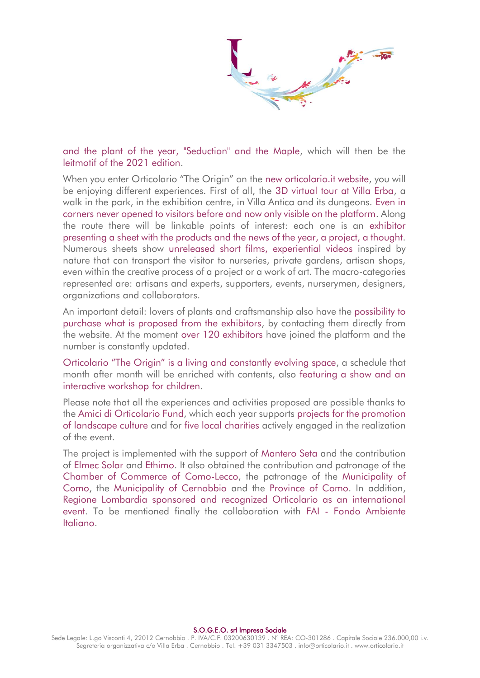and the plant of the year, "Seduction" and the Maple, which will then be the leitmotif of the 2021 edition.

When you enter Orticolario "The Origin" on the new orticolario.it website, you will be enjoying different experiences. First of all, the 3D virtual tour at Villa Erba, a walk in the park, in the exhibition centre, in Villa Antica and its dungeons. Even in corners never opened to visitors before and now only visible on the platform. Along the route there will be linkable points of interest: each one is an exhibitor presenting a sheet with the products and the news of the year, a project, a thought. Numerous sheets show unreleased short films, experiential videos inspired by nature that can transport the visitor to nurseries, private gardens, artisan shops, even within the creative process of a project or a work of art. The macro-categories represented are: artisans and experts, supporters, events, nurserymen, designers, organizations and collaborators.

An important detail: lovers of plants and craftsmanship also have the possibility to purchase what is proposed from the exhibitors, by contacting them directly from the website. At the moment over 120 exhibitors have joined the platform and the number is constantly updated.

Orticolario "The Origin" is a living and constantly evolving space, a schedule that month after month will be enriched with contents, also featuring a show and an interactive workshop for children.

Please note that all the experiences and activities proposed are possible thanks to the Amici di Orticolario Fund, which each year supports projects for the promotion of landscape culture and for five local charities actively engaged in the realization of the event.

The project is implemented with the support of Mantero Seta and the contribution of Elmec Solar and Ethimo. It also obtained the contribution and patronage of the Chamber of Commerce of Como-Lecco, the patronage of the Municipality of Como, the Municipality of Cernobbio and the Province of Como. In addition, Regione Lombardia sponsored and recognized Orticolario as an international event. To be mentioned finally the collaboration with FAI - Fondo Ambiente Italiano.